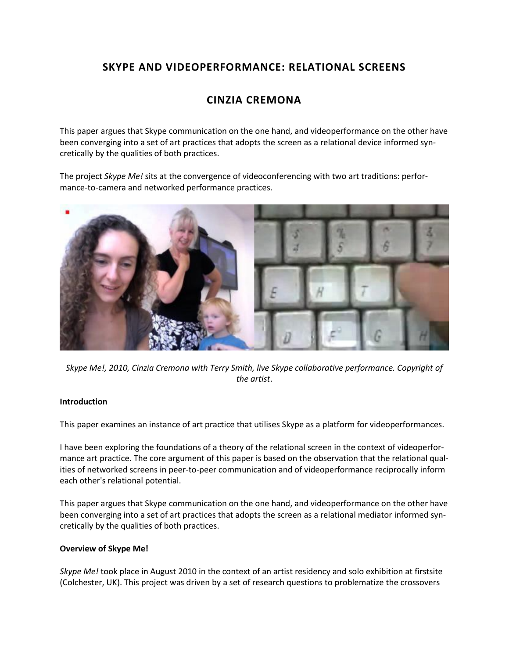## **SKYPE AND VIDEOPERFORMANCE: RELATIONAL SCREENS**

# **CINZIA CREMONA**

This paper argues that Skype communication on the one hand, and videoperformance on the other have been converging into a set of art practices that adopts the screen as a relational device informed syncretically by the qualities of both practices.

The project *Skype Me!* sits at the convergence of videoconferencing with two art traditions: performance-to-camera and networked performance practices.



*Skype Me!, 2010, Cinzia Cremona with Terry Smith, live Skype collaborative performance. Copyright of the artist*.

## **Introduction**

This paper examines an instance of art practice that utilises Skype as a platform for videoperformances.

I have been exploring the foundations of a theory of the relational screen in the context of videoperformance art practice. The core argument of this paper is based on the observation that the relational qualities of networked screens in peer-to-peer communication and of videoperformance reciprocally inform each other's relational potential.

This paper argues that Skype communication on the one hand, and videoperformance on the other have been converging into a set of art practices that adopts the screen as a relational mediator informed syncretically by the qualities of both practices.

## **Overview of Skype Me!**

*Skype Me!* took place in August 2010 in the context of an artist residency and solo exhibition at firstsite (Colchester, UK). This project was driven by a set of research questions to problematize the crossovers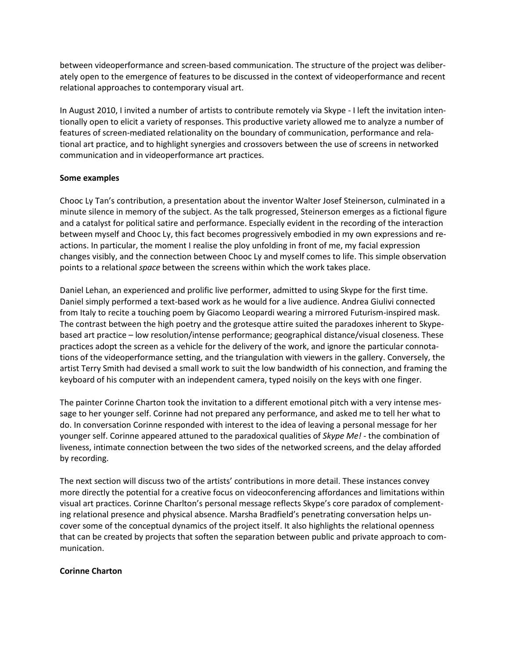between videoperformance and screen-based communication. The structure of the project was deliberately open to the emergence of features to be discussed in the context of videoperformance and recent relational approaches to contemporary visual art.

In August 2010, I invited a number of artists to contribute remotely via Skype - I left the invitation intentionally open to elicit a variety of responses. This productive variety allowed me to analyze a number of features of screen-mediated relationality on the boundary of communication, performance and relational art practice, and to highlight synergies and crossovers between the use of screens in networked communication and in videoperformance art practices.

### **Some examples**

Chooc Ly Tan's contribution, a presentation about the inventor Walter Josef Steinerson, culminated in a minute silence in memory of the subject. As the talk progressed, Steinerson emerges as a fictional figure and a catalyst for political satire and performance. Especially evident in the recording of the interaction between myself and Chooc Ly, this fact becomes progressively embodied in my own expressions and reactions. In particular, the moment I realise the ploy unfolding in front of me, my facial expression changes visibly, and the connection between Chooc Ly and myself comes to life. This simple observation points to a relational *space* between the screens within which the work takes place.

Daniel Lehan, an experienced and prolific live performer, admitted to using Skype for the first time. Daniel simply performed a text-based work as he would for a live audience. Andrea Giulivi connected from Italy to recite a touching poem by Giacomo Leopardi wearing a mirrored Futurism-inspired mask. The contrast between the high poetry and the grotesque attire suited the paradoxes inherent to Skypebased art practice – low resolution/intense performance; geographical distance/visual closeness. These practices adopt the screen as a vehicle for the delivery of the work, and ignore the particular connotations of the videoperformance setting, and the triangulation with viewers in the gallery. Conversely, the artist Terry Smith had devised a small work to suit the low bandwidth of his connection, and framing the keyboard of his computer with an independent camera, typed noisily on the keys with one finger.

The painter Corinne Charton took the invitation to a different emotional pitch with a very intense message to her younger self. Corinne had not prepared any performance, and asked me to tell her what to do. In conversation Corinne responded with interest to the idea of leaving a personal message for her younger self. Corinne appeared attuned to the paradoxical qualities of *Skype Me!* - the combination of liveness, intimate connection between the two sides of the networked screens, and the delay afforded by recording.

The next section will discuss two of the artists' contributions in more detail. These instances convey more directly the potential for a creative focus on videoconferencing affordances and limitations within visual art practices. Corinne Charlton's personal message reflects Skype's core paradox of complementing relational presence and physical absence. Marsha Bradfield's penetrating conversation helps uncover some of the conceptual dynamics of the project itself. It also highlights the relational openness that can be created by projects that soften the separation between public and private approach to communication.

## **Corinne Charton**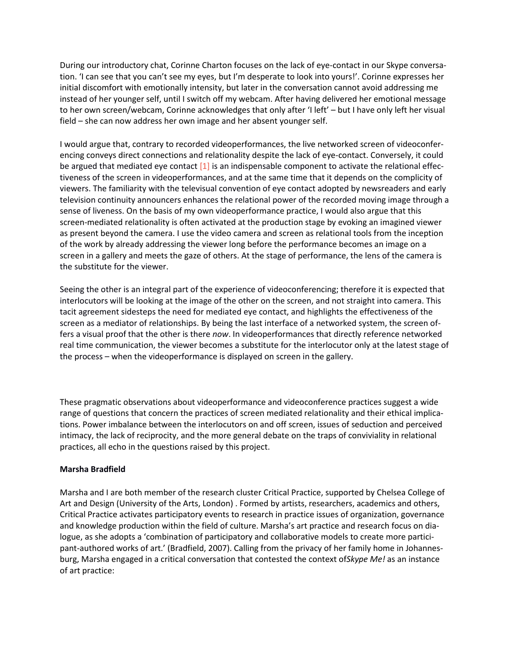During our introductory chat, Corinne Charton focuses on the lack of eye-contact in our Skype conversation. 'I can see that you can't see my eyes, but I'm desperate to look into yours!'. Corinne expresses her initial discomfort with emotionally intensity, but later in the conversation cannot avoid addressing me instead of her younger self, until I switch off my webcam. After having delivered her emotional message to her own screen/webcam, Corinne acknowledges that only after 'I left' – but I have only left her visual field – she can now address her own image and her absent younger self.

I would argue that, contrary to recorded videoperformances, the live networked screen of videoconferencing conveys direct connections and relationality despite the lack of eye-contact. Conversely, it could be argued that mediated eye contact  $[1]$  is an indispensable component to activate the relational effectiveness of the screen in videoperformances, and at the same time that it depends on the complicity of viewers. The familiarity with the televisual convention of eye contact adopted by newsreaders and early television continuity announcers enhances the relational power of the recorded moving image through a sense of liveness. On the basis of my own videoperformance practice, I would also argue that this screen-mediated relationality is often activated at the production stage by evoking an imagined viewer as present beyond the camera. I use the video camera and screen as relational tools from the inception of the work by already addressing the viewer long before the performance becomes an image on a screen in a gallery and meets the gaze of others. At the stage of performance, the lens of the camera is the substitute for the viewer.

Seeing the other is an integral part of the experience of videoconferencing; therefore it is expected that interlocutors will be looking at the image of the other on the screen, and not straight into camera. This tacit agreement sidesteps the need for mediated eye contact, and highlights the effectiveness of the screen as a mediator of relationships. By being the last interface of a networked system, the screen offers a visual proof that the other is there *now*. In videoperformances that directly reference networked real time communication, the viewer becomes a substitute for the interlocutor only at the latest stage of the process – when the videoperformance is displayed on screen in the gallery.

These pragmatic observations about videoperformance and videoconference practices suggest a wide range of questions that concern the practices of screen mediated relationality and their ethical implications. Power imbalance between the interlocutors on and off screen, issues of seduction and perceived intimacy, the lack of reciprocity, and the more general debate on the traps of conviviality in relational practices, all echo in the questions raised by this project.

## **Marsha Bradfield**

Marsha and I are both member of the research cluster Critical Practice, supported by Chelsea College of Art and Design (University of the Arts, London[\)](http://isea2011.sabanciuniv.edu/paper/skype-and-videoperformance-relational-screens.html#_ftn2) . Formed by artists, researchers, academics and others, Critical Practice activates participatory events to research in practice issues of organization, governance and knowledge production within the field of culture. Marsha's art practice and research focus on dialogue, as she adopts a 'combination of participatory and collaborative models to create more participant-authored works of art.' (Bradfield, 2007). Calling from the privacy of her family home in Johannesburg, Marsha engaged in a critical conversation that contested the context of*Skype Me!* as an instance of art practice: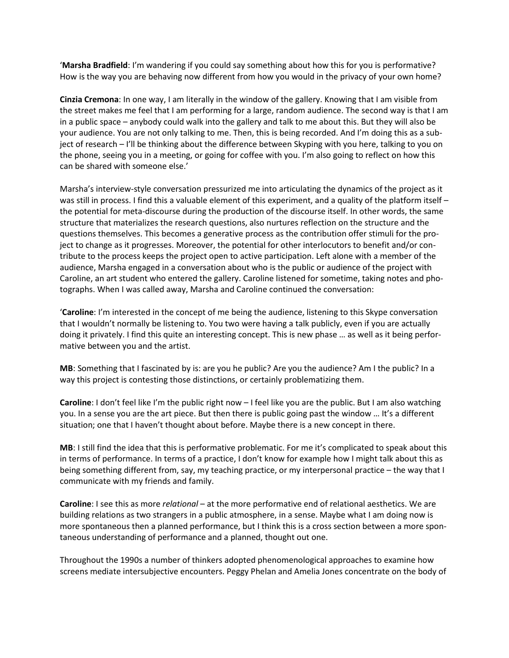'**Marsha Bradfield**: I'm wandering if you could say something about how this for you is performative? How is the way you are behaving now different from how you would in the privacy of your own home?

**Cinzia Cremona**: In one way, I am literally in the window of the gallery. Knowing that I am visible from the street makes me feel that I am performing for a large, random audience. The second way is that I am in a public space – anybody could walk into the gallery and talk to me about this. But they will also be your audience. You are not only talking to me. Then, this is being recorded. And I'm doing this as a subject of research – I'll be thinking about the difference between Skyping with you here, talking to you on the phone, seeing you in a meeting, or going for coffee with you. I'm also going to reflect on how this can be shared with someone else.'

Marsha's interview-style conversation pressurized me into articulating the dynamics of the project as it was still in process. I find this a valuable element of this experiment, and a quality of the platform itself the potential for meta-discourse during the production of the discourse itself. In other words, the same structure that materializes the research questions, also nurtures reflection on the structure and the questions themselves. This becomes a generative process as the contribution offer stimuli for the project to change as it progresses. Moreover, the potential for other interlocutors to benefit and/or contribute to the process keeps the project open to active participation. Left alone with a member of the audience, Marsha engaged in a conversation about who is the public or audience of the project with Caroline, an art student who entered the gallery. Caroline listened for sometime, taking notes and photographs. When I was called away, Marsha and Caroline continued the conversation:

'**Caroline**: I'm interested in the concept of me being the audience, listening to this Skype conversation that I wouldn't normally be listening to. You two were having a talk publicly, even if you are actually doing it privately. I find this quite an interesting concept. This is new phase … as well as it being performative between you and the artist.

**MB**: Something that I fascinated by is: are you he public? Are you the audience? Am I the public? In a way this project is contesting those distinctions, or certainly problematizing them.

**Caroline**: I don't feel like I'm the public right now – I feel like you are the public. But I am also watching you. In a sense you are the art piece. But then there is public going past the window … It's a different situation; one that I haven't thought about before. Maybe there is a new concept in there.

**MB**: I still find the idea that this is performative problematic. For me it's complicated to speak about this in terms of performance. In terms of a practice, I don't know for example how I might talk about this as being something different from, say, my teaching practice, or my interpersonal practice – the way that I communicate with my friends and family.

**Caroline**: I see this as more *relational* – at the more performative end of relational aesthetics. We are building relations as two strangers in a public atmosphere, in a sense. Maybe what I am doing now is more spontaneous then a planned performance, but I think this is a cross section between a more spontaneous understanding of performance and a planned, thought out one.

Throughout the 1990s a number of thinkers adopted phenomenological approaches to examine how screens mediate intersubjective encounters. Peggy Phelan and Amelia Jones concentrate on the body of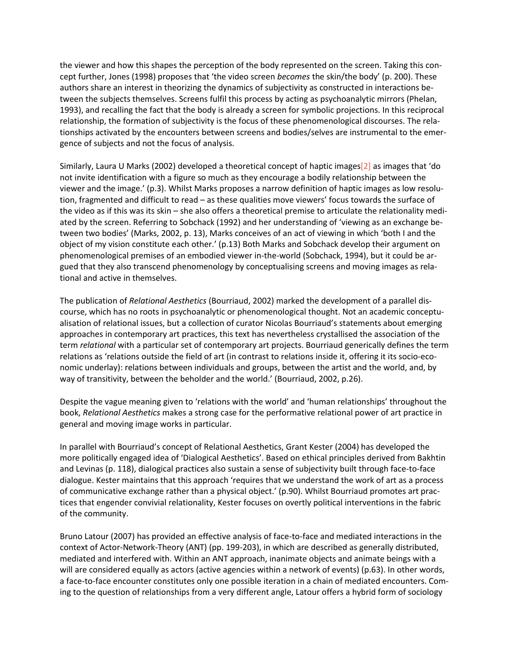the viewer and how this shapes the perception of the body represented on the screen. Taking this concept further, Jones (1998) proposes that 'the video screen *becomes* the skin/the body' (p. 200). These authors share an interest in theorizing the dynamics of subjectivity as constructed in interactions between the subjects themselves. Screens fulfil this process by acting as psychoanalytic mirrors (Phelan, 1993), and recalling the fact that the body is already a screen for symbolic projections. In this reciprocal relationship, the formation of subjectivity is the focus of these phenomenological discourses. The relationships activated by the encounters between screens and bodies/selves are instrumental to the emergence of subjects and not the focus of analysis.

Similarly, Laura U Marks (2002) developed a theoretical concept of haptic image[s\[2\]](http://isea2011.sabanciuniv.edu/paper/skype-and-videoperformance-relational-screens.html#_ftn4) as images that 'do not invite identification with a figure so much as they encourage a bodily relationship between the viewer and the image.' (p.3). Whilst Marks proposes a narrow definition of haptic images as low resolution, fragmented and difficult to read – as these qualities move viewers' focus towards the surface of the video as if this was its skin – she also offers a theoretical premise to articulate the relationality mediated by the screen. Referring to Sobchack (1992) and her understanding of 'viewing as an exchange between two bodies' (Marks, 2002, p. 13), Marks conceives of an act of viewing in which 'both I and the object of my vision constitute each other.' (p.13) Both Marks and Sobchack develop their argument on phenomenological premises of an embodied viewer in-the-world (Sobchack, 1994), but it could be argued that they also transcend phenomenology by conceptualising screens and moving images as relational and active in themselves.

The publication of *Relational Aesthetics* (Bourriaud, 2002) marked the development of a parallel discourse, which has no roots in psychoanalytic or phenomenological thought. Not an academic conceptualisation of relational issues, but a collection of curator Nicolas Bourriaud's statements about emerging approaches in contemporary art practices, this text has nevertheless crystallised the association of the term *relational* with a particular set of contemporary art projects. Bourriaud generically defines the term relations as 'relations outside the field of art (in contrast to relations inside it, offering it its socio-economic underlay): relations between individuals and groups, between the artist and the world, and, by way of transitivity, between the beholder and the world.' (Bourriaud, 2002, p.26).

Despite the vague meaning given to 'relations with the world' and 'human relationships' throughout the book, *Relational Aesthetics* makes a strong case for the performative relational power of art practice in general and moving image works in particular.

In parallel with Bourriaud's concept of Relational Aesthetics, Grant Kester (2004) has developed the more politically engaged idea of 'Dialogical Aesthetics'. Based on ethical principles derived from Bakhtin and Levinas (p. 118), dialogical practices also sustain a sense of subjectivity built through face-to-face dialogue. Kester maintains that this approach 'requires that we understand the work of art as a process of communicative exchange rather than a physical object.' (p.90). Whilst Bourriaud promotes art practices that engender convivial relationality, Kester focuses on overtly political interventions in the fabric of the community.

Bruno Latour (2007) has provided an effective analysis of face-to-face and mediated interactions in the context of Actor-Network-Theory (ANT) (pp. 199-203), in which are described as generally distributed, mediated and interfered with. Within an ANT approach, inanimate objects and animate beings with a will are considered equally as actors (active agencies within a network of events) (p.63). In other words, a face-to-face encounter constitutes only one possible iteration in a chain of mediated encounters. Coming to the question of relationships from a very different angle, Latour offers a hybrid form of sociology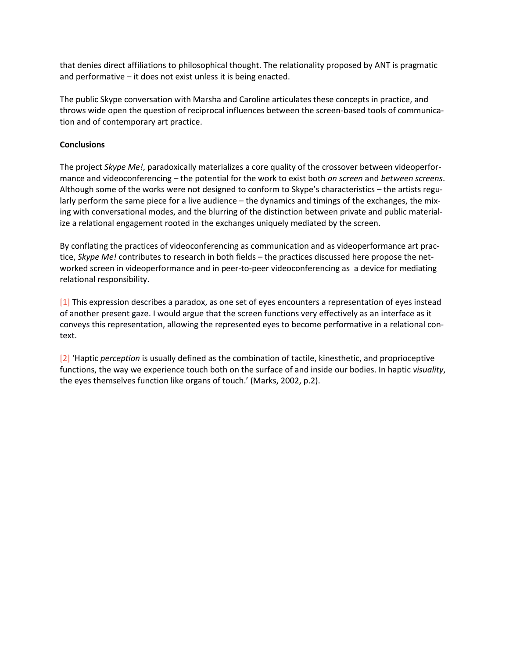that denies direct affiliations to philosophical thought. The relationality proposed by ANT is pragmatic and performative – it does not exist unless it is being enacted.

The public Skype conversation with Marsha and Caroline articulates these concepts in practice, and throws wide open the question of reciprocal influences between the screen-based tools of communication and of contemporary art practice.

## **Conclusions**

The project *Skype Me!*, paradoxically materializes a core quality of the crossover between videoperformance and videoconferencing – the potential for the work to exist both *on screen* and *between screens*. Although some of the works were not designed to conform to Skype's characteristics – the artists regularly perform the same piece for a live audience – the dynamics and timings of the exchanges, the mixing with conversational modes, and the blurring of the distinction between private and public materialize a relational engagement rooted in the exchanges uniquely mediated by the screen.

By conflating the practices of videoconferencing as communication and as videoperformance art practice, *Skype Me!* contributes to research in both fields – the practices discussed here propose the networked screen in videoperformance and in peer-to-peer videoconferencing as a device for mediating relational responsibility.

[\[1\]](http://isea2011.sabanciuniv.edu/paper/skype-and-videoperformance-relational-screens.html#_ftnref1) This expression describes a paradox, as one set of eyes encounters a representation of eyes instead of another present gaze. I would argue that the screen functions very effectively as an interface as it conveys this representation, allowing the represented eyes to become performative in a relational context.

[\[2\]](http://isea2011.sabanciuniv.edu/paper/skype-and-videoperformance-relational-screens.html#_ftnref4) 'Haptic *perception* is usually defined as the combination of tactile, kinesthetic, and proprioceptive functions, the way we experience touch both on the surface of and inside our bodies. In haptic *visuality*, the eyes themselves function like organs of touch.' (Marks, 2002, p.2).